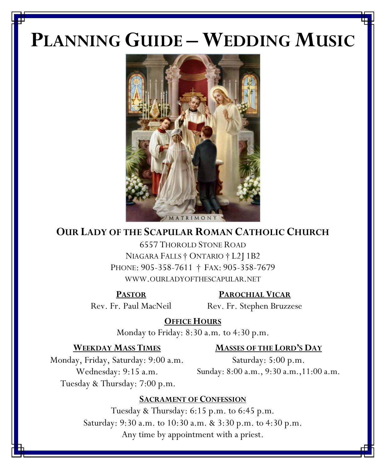# **PLANNING GUIDE – WEDDING MUSIC**



# **OUR LADY OF THE SCAPULAR ROMAN CATHOLIC CHURCH**

6557 THOROLD STONE ROAD NIAGARA FALLS † ONTARIO † L2J 1B2 PHONE: 905-358-7611 † FAX: 905-358-7679 WWW.OURLADYOFTHESCAPULAR.NET

**PASTOR PAROCHIAL VICAR**

Rev. Fr. Paul MacNeil Rev. Fr. Stephen Bruzzese

**OFFICE HOURS**

Monday to Friday: 8:30 a.m. to 4:30 p.m.

#### **WEEKDAY MASS TIMES MASSES OF THE LORD'S DAY**

Monday, Friday, Saturday: 9:00 a.m. Saturday: 5:00 p.m. Wednesday: 9:15 a.m. Sunday: 8:00 a.m., 9:30 a.m.,11:00 a.m. Tuesday & Thursday: 7:00 p.m.

#### **SACRAMENT OF CONFESSION**

Tuesday & Thursday: 6:15 p.m. to 6:45 p.m. Saturday: 9:30 a.m. to 10:30 a.m. & 3:30 p.m. to 4:30 p.m. Any time by appointment with a priest.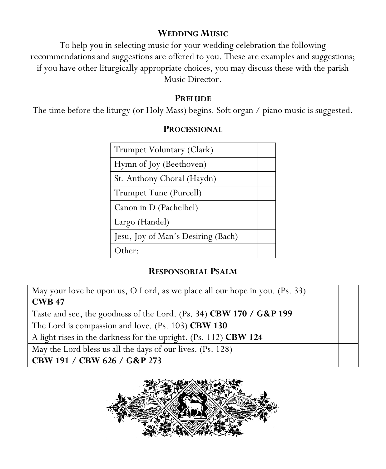#### **WEDDING MUSIC**

To help you in selecting music for your wedding celebration the following recommendations and suggestions are offered to you. These are examples and suggestions; if you have other liturgically appropriate choices, you may discuss these with the parish Music Director.

#### **PRELUDE**

The time before the liturgy (or Holy Mass) begins. Soft organ / piano music is suggested.

| Trumpet Voluntary (Clark)          |  |
|------------------------------------|--|
| Hymn of Joy (Beethoven)            |  |
| St. Anthony Choral (Haydn)         |  |
| Trumpet Tune (Purcell)             |  |
| Canon in D (Pachelbel)             |  |
| Largo (Handel)                     |  |
| Jesu, Joy of Man's Desiring (Bach) |  |
| Other:                             |  |

#### **PROCESSIONAL**

### **RESPONSORIAL PSALM**

May your love be upon us, O Lord, as we place all our hope in you. (Ps. 33) **CWB 47**

Taste and see, the goodness of the Lord. (Ps. 34) **CBW 170 / G&P 199**

The Lord is compassion and love. (Ps. 103) **CBW 130**

A light rises in the darkness for the upright. (Ps. 112) **CBW 124**

May the Lord bless us all the days of our lives. (Ps. 128)

**CBW 191 / CBW 626 / G&P 273**

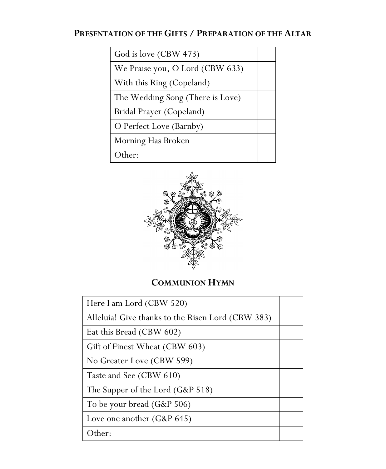### **PRESENTATION OF THE GIFTS / PREPARATION OF THE ALTAR**

| God is love (CBW 473)            |  |
|----------------------------------|--|
| We Praise you, O Lord (CBW 633)  |  |
| With this Ring (Copeland)        |  |
| The Wedding Song (There is Love) |  |
| Bridal Prayer (Copeland)         |  |
| O Perfect Love (Barnby)          |  |
| Morning Has Broken               |  |
| Other:                           |  |



## **COMMUNION HYMN**

| Here I am Lord (CBW 520)                          |  |
|---------------------------------------------------|--|
| Alleluia! Give thanks to the Risen Lord (CBW 383) |  |
| Eat this Bread (CBW 602)                          |  |
| Gift of Finest Wheat (CBW 603)                    |  |
| No Greater Love (CBW 599)                         |  |
| Taste and See (CBW 610)                           |  |
| The Supper of the Lord (G&P 518)                  |  |
| To be your bread (G&P 506)                        |  |
| Love one another $(G\&P 645)$                     |  |
| Other:                                            |  |